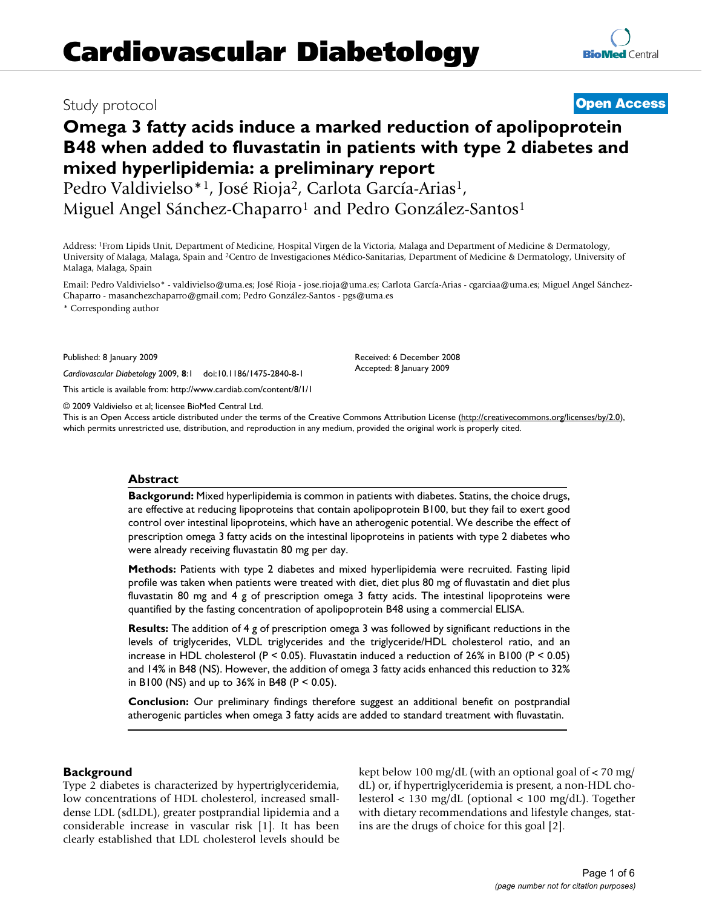## Study protocol **[Open Access](http://www.biomedcentral.com/info/about/charter/)**

# **Omega 3 fatty acids induce a marked reduction of apolipoprotein B48 when added to fluvastatin in patients with type 2 diabetes and mixed hyperlipidemia: a preliminary report**

Pedro Valdivielso\*<sup>1</sup>, José Rioja<sup>2</sup>, Carlota García-Arias<sup>1</sup>, Miguel Angel Sánchez-Chaparro<sup>1</sup> and Pedro González-Santos<sup>1</sup>

Address: 1From Lipids Unit, Department of Medicine, Hospital Virgen de la Victoria, Malaga and Department of Medicine & Dermatology, University of Malaga, Malaga, Spain and 2Centro de Investigaciones Médico-Sanitarias, Department of Medicine & Dermatology, University of Malaga, Malaga, Spain

Email: Pedro Valdivielso\* - valdivielso@uma.es; José Rioja - jose.rioja@uma.es; Carlota García-Arias - cgarciaa@uma.es; Miguel Angel Sánchez-Chaparro - masanchezchaparro@gmail.com; Pedro González-Santos - pgs@uma.es

> Received: 6 December 2008 Accepted: 8 January 2009

\* Corresponding author

Published: 8 January 2009

*Cardiovascular Diabetology* 2009, **8**:1 doi:10.1186/1475-2840-8-1

[This article is available from: http://www.cardiab.com/content/8/1/1](http://www.cardiab.com/content/8/1/1)

© 2009 Valdivielso et al; licensee BioMed Central Ltd.

This is an Open Access article distributed under the terms of the Creative Commons Attribution License [\(http://creativecommons.org/licenses/by/2.0\)](http://creativecommons.org/licenses/by/2.0), which permits unrestricted use, distribution, and reproduction in any medium, provided the original work is properly cited.

#### **Abstract**

**Backgorund:** Mixed hyperlipidemia is common in patients with diabetes. Statins, the choice drugs, are effective at reducing lipoproteins that contain apolipoprotein B100, but they fail to exert good control over intestinal lipoproteins, which have an atherogenic potential. We describe the effect of prescription omega 3 fatty acids on the intestinal lipoproteins in patients with type 2 diabetes who were already receiving fluvastatin 80 mg per day.

**Methods:** Patients with type 2 diabetes and mixed hyperlipidemia were recruited. Fasting lipid profile was taken when patients were treated with diet, diet plus 80 mg of fluvastatin and diet plus fluvastatin 80 mg and 4 g of prescription omega 3 fatty acids. The intestinal lipoproteins were quantified by the fasting concentration of apolipoprotein B48 using a commercial ELISA.

**Results:** The addition of 4 g of prescription omega 3 was followed by significant reductions in the levels of triglycerides, VLDL triglycerides and the triglyceride/HDL cholesterol ratio, and an increase in HDL cholesterol (P < 0.05). Fluvastatin induced a reduction of 26% in B100 (P < 0.05) and 14% in B48 (NS). However, the addition of omega 3 fatty acids enhanced this reduction to 32% in B100 (NS) and up to 36% in B48 (P < 0.05).

**Conclusion:** Our preliminary findings therefore suggest an additional benefit on postprandial atherogenic particles when omega 3 fatty acids are added to standard treatment with fluvastatin.

#### **Background**

Type 2 diabetes is characterized by hypertriglyceridemia, low concentrations of HDL cholesterol, increased smalldense LDL (sdLDL), greater postprandial lipidemia and a considerable increase in vascular risk [1]. It has been clearly established that LDL cholesterol levels should be kept below 100 mg/dL (with an optional goal of < 70 mg/ dL) or, if hypertriglyceridemia is present, a non-HDL cholesterol < 130 mg/dL (optional < 100 mg/dL). Together with dietary recommendations and lifestyle changes, statins are the drugs of choice for this goal [2].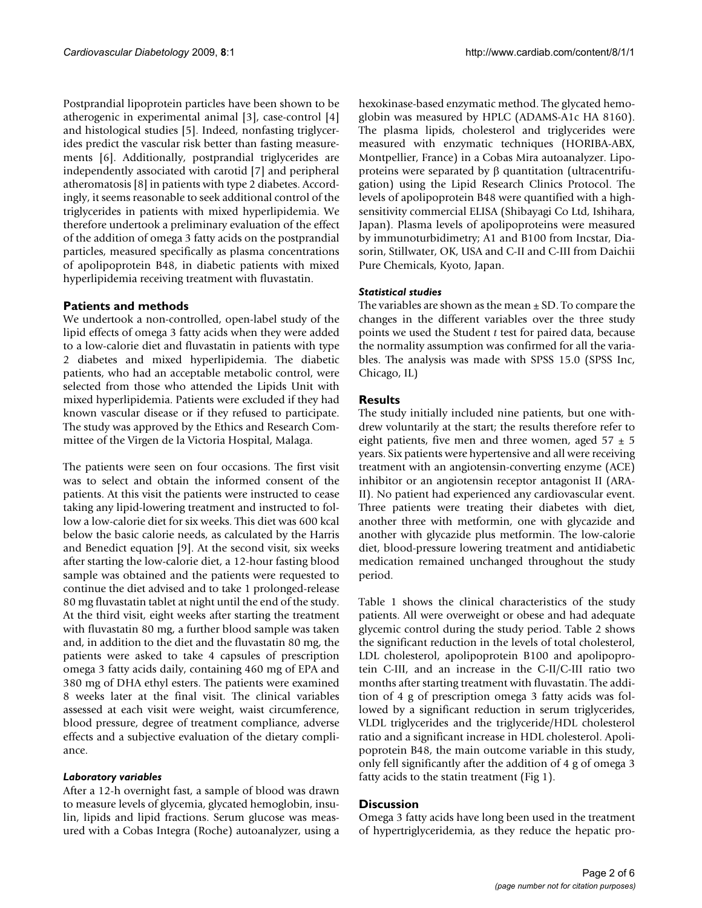Postprandial lipoprotein particles have been shown to be atherogenic in experimental animal [3], case-control [4] and histological studies [5]. Indeed, nonfasting triglycerides predict the vascular risk better than fasting measurements [6]. Additionally, postprandial triglycerides are independently associated with carotid [7] and peripheral atheromatosis [8] in patients with type 2 diabetes. Accordingly, it seems reasonable to seek additional control of the triglycerides in patients with mixed hyperlipidemia. We therefore undertook a preliminary evaluation of the effect of the addition of omega 3 fatty acids on the postprandial particles, measured specifically as plasma concentrations of apolipoprotein B48, in diabetic patients with mixed hyperlipidemia receiving treatment with fluvastatin.

## **Patients and methods**

We undertook a non-controlled, open-label study of the lipid effects of omega 3 fatty acids when they were added to a low-calorie diet and fluvastatin in patients with type 2 diabetes and mixed hyperlipidemia. The diabetic patients, who had an acceptable metabolic control, were selected from those who attended the Lipids Unit with mixed hyperlipidemia. Patients were excluded if they had known vascular disease or if they refused to participate. The study was approved by the Ethics and Research Committee of the Virgen de la Victoria Hospital, Malaga.

The patients were seen on four occasions. The first visit was to select and obtain the informed consent of the patients. At this visit the patients were instructed to cease taking any lipid-lowering treatment and instructed to follow a low-calorie diet for six weeks. This diet was 600 kcal below the basic calorie needs, as calculated by the Harris and Benedict equation [9]. At the second visit, six weeks after starting the low-calorie diet, a 12-hour fasting blood sample was obtained and the patients were requested to continue the diet advised and to take 1 prolonged-release 80 mg fluvastatin tablet at night until the end of the study. At the third visit, eight weeks after starting the treatment with fluvastatin 80 mg, a further blood sample was taken and, in addition to the diet and the fluvastatin 80 mg, the patients were asked to take 4 capsules of prescription omega 3 fatty acids daily, containing 460 mg of EPA and 380 mg of DHA ethyl esters. The patients were examined 8 weeks later at the final visit. The clinical variables assessed at each visit were weight, waist circumference, blood pressure, degree of treatment compliance, adverse effects and a subjective evaluation of the dietary compliance.

## *Laboratory variables*

After a 12-h overnight fast, a sample of blood was drawn to measure levels of glycemia, glycated hemoglobin, insulin, lipids and lipid fractions. Serum glucose was measured with a Cobas Integra (Roche) autoanalyzer, using a

hexokinase-based enzymatic method. The glycated hemoglobin was measured by HPLC (ADAMS-A1c HA 8160). The plasma lipids, cholesterol and triglycerides were measured with enzymatic techniques (HORIBA-ABX, Montpellier, France) in a Cobas Mira autoanalyzer. Lipoproteins were separated by β quantitation (ultracentrifugation) using the Lipid Research Clinics Protocol. The levels of apolipoprotein B48 were quantified with a highsensitivity commercial ELISA (Shibayagi Co Ltd, Ishihara, Japan). Plasma levels of apolipoproteins were measured by immunoturbidimetry; A1 and B100 from Incstar, Diasorin, Stillwater, OK, USA and C-II and C-III from Daichii Pure Chemicals, Kyoto, Japan.

## *Statistical studies*

The variables are shown as the mean  $\pm$  SD. To compare the changes in the different variables over the three study points we used the Student *t* test for paired data, because the normality assumption was confirmed for all the variables. The analysis was made with SPSS 15.0 (SPSS Inc, Chicago, IL)

## **Results**

The study initially included nine patients, but one withdrew voluntarily at the start; the results therefore refer to eight patients, five men and three women, aged  $57 \pm 5$ years. Six patients were hypertensive and all were receiving treatment with an angiotensin-converting enzyme (ACE) inhibitor or an angiotensin receptor antagonist II (ARA-II). No patient had experienced any cardiovascular event. Three patients were treating their diabetes with diet, another three with metformin, one with glycazide and another with glycazide plus metformin. The low-calorie diet, blood-pressure lowering treatment and antidiabetic medication remained unchanged throughout the study period.

Table 1 shows the clinical characteristics of the study patients. All were overweight or obese and had adequate glycemic control during the study period. Table 2 shows the significant reduction in the levels of total cholesterol, LDL cholesterol, apolipoprotein B100 and apolipoprotein C-III, and an increase in the C-II/C-III ratio two months after starting treatment with fluvastatin. The addition of 4 g of prescription omega 3 fatty acids was followed by a significant reduction in serum triglycerides, VLDL triglycerides and the triglyceride/HDL cholesterol ratio and a significant increase in HDL cholesterol. Apolipoprotein B48, the main outcome variable in this study, only fell significantly after the addition of 4 g of omega 3 fatty acids to the statin treatment (Fig 1).

## **Discussion**

Omega 3 fatty acids have long been used in the treatment of hypertriglyceridemia, as they reduce the hepatic pro-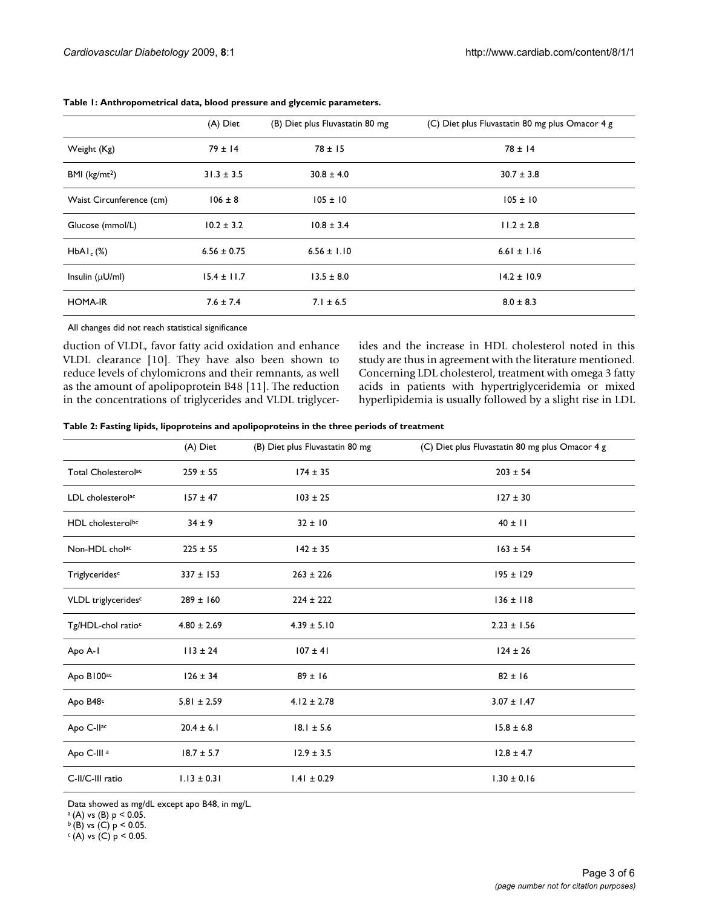|                           | (A) Diet        | (B) Diet plus Fluvastatin 80 mg | (C) Diet plus Fluvastatin 80 mg plus Omacor 4 g |
|---------------------------|-----------------|---------------------------------|-------------------------------------------------|
| Weight (Kg)               | $79 \pm 14$     | $78 \pm 15$                     | $78 \pm 14$                                     |
| BMI (kg/mL <sup>2</sup> ) | $31.3 \pm 3.5$  | $30.8 \pm 4.0$                  | $30.7 \pm 3.8$                                  |
| Waist Circunference (cm)  | $106 \pm 8$     | $105 \pm 10$                    | $105 \pm 10$                                    |
| Glucose (mmol/L)          | $10.2 \pm 3.2$  | $10.8 \pm 3.4$                  | $11.2 \pm 2.8$                                  |
| HbAl <sub>c</sub> (%)     | $6.56 \pm 0.75$ | $6.56 \pm 1.10$                 | $6.61 \pm 1.16$                                 |
| Insulin $(\mu U/ml)$      | $15.4 \pm 11.7$ | $13.5 \pm 8.0$                  | $14.2 \pm 10.9$                                 |
| <b>HOMA-IR</b>            | $7.6 \pm 7.4$   | $7.1 \pm 6.5$                   | $8.0 \pm 8.3$                                   |

**Table 1: Anthropometrical data, blood pressure and glycemic parameters.**

All changes did not reach statistical significance

duction of VLDL, favor fatty acid oxidation and enhance VLDL clearance [10]. They have also been shown to reduce levels of chylomicrons and their remnants, as well as the amount of apolipoprotein B48 [11]. The reduction in the concentrations of triglycerides and VLDL triglycerides and the increase in HDL cholesterol noted in this study are thus in agreement with the literature mentioned. Concerning LDL cholesterol, treatment with omega 3 fatty acids in patients with hypertriglyceridemia or mixed hyperlipidemia is usually followed by a slight rise in LDL

|                                 | (A) Diet        | (B) Diet plus Fluvastatin 80 mg | (C) Diet plus Fluvastatin 80 mg plus Omacor 4 g |
|---------------------------------|-----------------|---------------------------------|-------------------------------------------------|
| Total Cholesterol <sup>ac</sup> | $259 \pm 55$    | $174 \pm 35$                    | $203 \pm 54$                                    |
| LDL cholesterolac               | $157 \pm 47$    | $103 \pm 25$                    | $127 \pm 30$                                    |
| HDL cholesterolbc               | $34 \pm 9$      | $32 \pm 10$                     | $40 \pm 11$                                     |
| Non-HDL cholac                  | $225 \pm 55$    | $142 \pm 35$                    | $163 \pm 54$                                    |
| Triglyceridesc                  | $337 \pm 153$   | $263 \pm 226$                   | $195 \pm 129$                                   |
| VLDL triglycerides <sup>c</sup> | $289 \pm 160$   | $224 \pm 222$                   | $136 \pm 118$                                   |
| Tg/HDL-chol ratio <sup>c</sup>  | $4.80 \pm 2.69$ | $4.39 \pm 5.10$                 | $2.23 \pm 1.56$                                 |
| Apo A-1                         | $113 \pm 24$    | $107 \pm 41$                    | $124 \pm 26$                                    |
| Apo B100 <sup>ac</sup>          | $126 \pm 34$    | $89 \pm 16$                     | $82 \pm 16$                                     |
| Apo B48c                        | $5.81 \pm 2.59$ | $4.12 \pm 2.78$                 | $3.07 \pm 1.47$                                 |
| Apo C-Ilac                      | $20.4 \pm 6.1$  | $18.1 \pm 5.6$                  | $15.8 \pm 6.8$                                  |
| Apo C-III <sup>a</sup>          | $18.7 \pm 5.7$  | $12.9 \pm 3.5$                  | $12.8 \pm 4.7$                                  |
| C-II/C-III ratio                | $1.13 \pm 0.31$ | $1.41 \pm 0.29$                 | $1.30 \pm 0.16$                                 |

Data showed as mg/dL except apo B48, in mg/L.

 $A$  (A) vs (B)  $p < 0.05$ .

 $\frac{b}{b}$  (B) vs (C)  $p < 0.05$ .

 $c(A)$  vs (C)  $p < 0.05$ .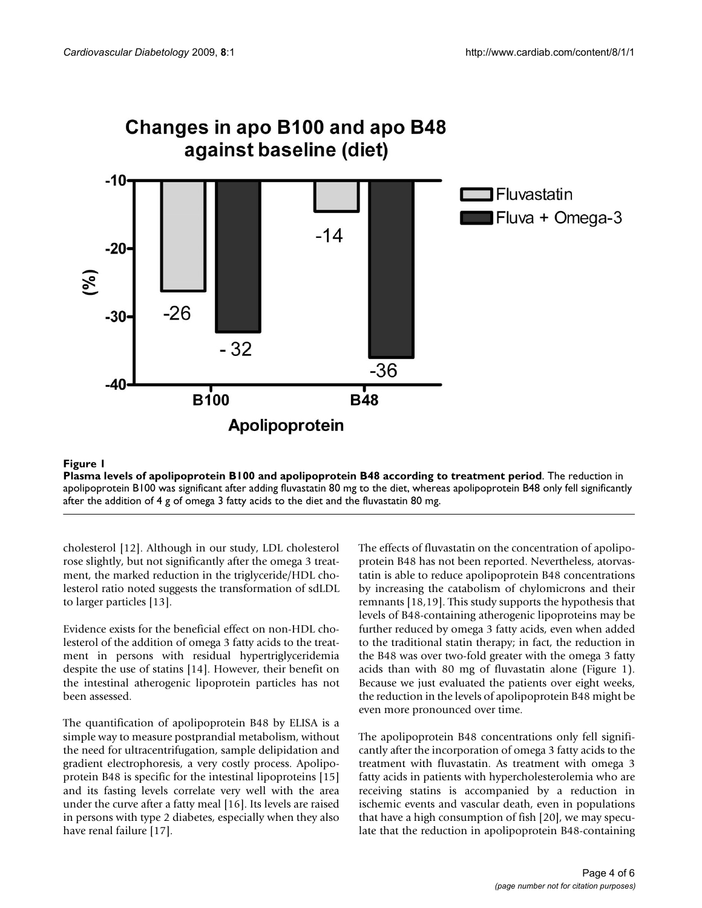

## Plasma levels of apolipoprotein B100 and apol **Figure 1** ipoprotein B48 according to treatment period

**Plasma levels of apolipoprotein B100 and apolipoprotein B48 according to treatment period**. The reduction in apolipoprotein B100 was significant after adding fluvastatin 80 mg to the diet, whereas apolipoprotein B48 only fell significantly after the addition of 4 g of omega 3 fatty acids to the diet and the fluvastatin 80 mg.

cholesterol [12]. Although in our study, LDL cholesterol rose slightly, but not significantly after the omega 3 treatment, the marked reduction in the triglyceride/HDL cholesterol ratio noted suggests the transformation of sdLDL to larger particles [13].

Evidence exists for the beneficial effect on non-HDL cholesterol of the addition of omega 3 fatty acids to the treatment in persons with residual hypertriglyceridemia despite the use of statins [14]. However, their benefit on the intestinal atherogenic lipoprotein particles has not been assessed.

The quantification of apolipoprotein B48 by ELISA is a simple way to measure postprandial metabolism, without the need for ultracentrifugation, sample delipidation and gradient electrophoresis, a very costly process. Apolipoprotein B48 is specific for the intestinal lipoproteins [15] and its fasting levels correlate very well with the area under the curve after a fatty meal [16]. Its levels are raised in persons with type 2 diabetes, especially when they also have renal failure [17].

The effects of fluvastatin on the concentration of apolipoprotein B48 has not been reported. Nevertheless, atorvastatin is able to reduce apolipoprotein B48 concentrations by increasing the catabolism of chylomicrons and their remnants [18,19]. This study supports the hypothesis that levels of B48-containing atherogenic lipoproteins may be further reduced by omega 3 fatty acids, even when added to the traditional statin therapy; in fact, the reduction in the B48 was over two-fold greater with the omega 3 fatty acids than with 80 mg of fluvastatin alone (Figure 1). Because we just evaluated the patients over eight weeks, the reduction in the levels of apolipoprotein B48 might be even more pronounced over time.

The apolipoprotein B48 concentrations only fell significantly after the incorporation of omega 3 fatty acids to the treatment with fluvastatin. As treatment with omega 3 fatty acids in patients with hypercholesterolemia who are receiving statins is accompanied by a reduction in ischemic events and vascular death, even in populations that have a high consumption of fish [20], we may speculate that the reduction in apolipoprotein B48-containing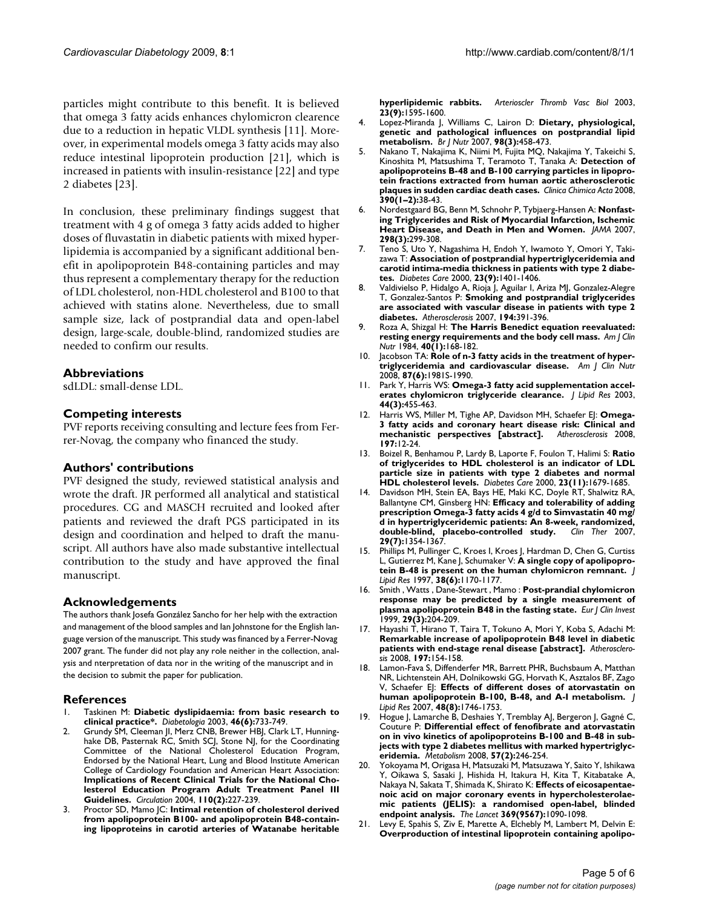particles might contribute to this benefit. It is believed that omega 3 fatty acids enhances chylomicron clearence due to a reduction in hepatic VLDL synthesis [11]. Moreover, in experimental models omega 3 fatty acids may also reduce intestinal lipoprotein production [21], which is increased in patients with insulin-resistance [22] and type 2 diabetes [23].

In conclusion, these preliminary findings suggest that treatment with 4 g of omega 3 fatty acids added to higher doses of fluvastatin in diabetic patients with mixed hyperlipidemia is accompanied by a significant additional benefit in apolipoprotein B48-containing particles and may thus represent a complementary therapy for the reduction of LDL cholesterol, non-HDL cholesterol and B100 to that achieved with statins alone. Nevertheless, due to small sample size, lack of postprandial data and open-label design, large-scale, double-blind, randomized studies are needed to confirm our results.

## **Abbreviations**

sdLDL: small-dense LDL.

## **Competing interests**

PVF reports receiving consulting and lecture fees from Ferrer-Novag, the company who financed the study.

#### **Authors' contributions**

PVF designed the study, reviewed statistical analysis and wrote the draft. JR performed all analytical and statistical procedures. CG and MASCH recruited and looked after patients and reviewed the draft PGS participated in its design and coordination and helped to draft the manuscript. All authors have also made substantive intellectual contribution to the study and have approved the final manuscript.

### **Acknowledgements**

The authors thank Josefa González Sancho for her help with the extraction and management of the blood samples and Ian Johnstone for the English language version of the manuscript. This study was financed by a Ferrer-Novag 2007 grant. The funder did not play any role neither in the collection, analysis and nterpretation of data nor in the writing of the manuscript and in the decision to submit the paper for publication.

#### **References**

- 1. Taskinen M: **[Diabetic dyslipidaemia: from basic research to](http://www.ncbi.nlm.nih.gov/entrez/query.fcgi?cmd=Retrieve&db=PubMed&dopt=Abstract&list_uids=12774165) [clinical practice\\*.](http://www.ncbi.nlm.nih.gov/entrez/query.fcgi?cmd=Retrieve&db=PubMed&dopt=Abstract&list_uids=12774165)** *Diabetologia* 2003, **46(6):**733-749.
- 2. Grundy SM, Cleeman JI, Merz CNB, Brewer HBJ, Clark LT, Hunninghake DB, Pasternak RC, Smith SCJ, Stone NJ, for the Coordinating Committee of the National Cholesterol Education Program, Endorsed by the National Heart, Lung and Blood Institute American College of Cardiology Foundation and American Heart Association: **[Implications of Recent Clinical Trials for the National Cho](http://www.ncbi.nlm.nih.gov/entrez/query.fcgi?cmd=Retrieve&db=PubMed&dopt=Abstract&list_uids=15249516)lesterol Education Program Adult Treatment Panel III [Guidelines.](http://www.ncbi.nlm.nih.gov/entrez/query.fcgi?cmd=Retrieve&db=PubMed&dopt=Abstract&list_uids=15249516)** *Circulation* 2004, **110(2):**227-239.
- 3. Proctor SD, Mamo JC: **[Intimal retention of cholesterol derived](http://www.ncbi.nlm.nih.gov/entrez/query.fcgi?cmd=Retrieve&db=PubMed&dopt=Abstract&list_uids=12842838) [from apolipoprotein B100- and apolipoprotein B48-contain](http://www.ncbi.nlm.nih.gov/entrez/query.fcgi?cmd=Retrieve&db=PubMed&dopt=Abstract&list_uids=12842838)ing lipoproteins in carotid arteries of Watanabe heritable**

**[hyperlipidemic rabbits.](http://www.ncbi.nlm.nih.gov/entrez/query.fcgi?cmd=Retrieve&db=PubMed&dopt=Abstract&list_uids=12842838)** *Arterioscler Thromb Vasc Biol* 2003, **23(9):**1595-1600.

- 4. Lopez-Miranda J, Williams C, Lairon D: **[Dietary, physiological,](http://www.ncbi.nlm.nih.gov/entrez/query.fcgi?cmd=Retrieve&db=PubMed&dopt=Abstract&list_uids=17705891) [genetic and pathological influences on postprandial lipid](http://www.ncbi.nlm.nih.gov/entrez/query.fcgi?cmd=Retrieve&db=PubMed&dopt=Abstract&list_uids=17705891) [metabolism.](http://www.ncbi.nlm.nih.gov/entrez/query.fcgi?cmd=Retrieve&db=PubMed&dopt=Abstract&list_uids=17705891)** *Br J Nutr* 2007, **98(3):**458-473.
- 5. Nakano T, Nakajima K, Niimi M, Fujita MQ, Nakajima Y, Takeichi S, Kinoshita M, Matsushima T, Teramoto T, Tanaka A: **Detection of apolipoproteins B-48 and B-100 carrying particles in lipoprotein fractions extracted from human aortic atherosclerotic plaques in sudden cardiac death cases.** *Clinica Chimica Acta* 2008, **390(1–2):**38-43.
- 6. Nordestgaard BG, Benn M, Schnohr P, Tybjaerg-Hansen A: **[Nonfast](http://www.ncbi.nlm.nih.gov/entrez/query.fcgi?cmd=Retrieve&db=PubMed&dopt=Abstract&list_uids=17635890)[ing Triglycerides and Risk of Myocardial Infarction, Ischemic](http://www.ncbi.nlm.nih.gov/entrez/query.fcgi?cmd=Retrieve&db=PubMed&dopt=Abstract&list_uids=17635890) [Heart Disease, and Death in Men and Women.](http://www.ncbi.nlm.nih.gov/entrez/query.fcgi?cmd=Retrieve&db=PubMed&dopt=Abstract&list_uids=17635890)** *JAMA* 2007, **298(3):**299-308.
- 7. Teno S, Uto Y, Nagashima H, Endoh Y, Iwamoto Y, Omori Y, Takizawa T: **[Association of postprandial hypertriglyceridemia and](http://www.ncbi.nlm.nih.gov/entrez/query.fcgi?cmd=Retrieve&db=PubMed&dopt=Abstract&list_uids=10977041) [carotid intima-media thickness in patients with type 2 diabe](http://www.ncbi.nlm.nih.gov/entrez/query.fcgi?cmd=Retrieve&db=PubMed&dopt=Abstract&list_uids=10977041)[tes.](http://www.ncbi.nlm.nih.gov/entrez/query.fcgi?cmd=Retrieve&db=PubMed&dopt=Abstract&list_uids=10977041)** *Diabetes Care* 2000, **23(9):**1401-1406.
- 8. Valdivielso P, Hidalgo A, Rioja J, Aguilar I, Ariza MJ, Gonzalez-Alegre T, Gonzalez-Santos P: **[Smoking and postprandial triglycerides](http://www.ncbi.nlm.nih.gov/entrez/query.fcgi?cmd=Retrieve&db=PubMed&dopt=Abstract&list_uids=16996523) [are associated with vascular disease in patients with type 2](http://www.ncbi.nlm.nih.gov/entrez/query.fcgi?cmd=Retrieve&db=PubMed&dopt=Abstract&list_uids=16996523) [diabetes.](http://www.ncbi.nlm.nih.gov/entrez/query.fcgi?cmd=Retrieve&db=PubMed&dopt=Abstract&list_uids=16996523)** *Atherosclerosis* 2007, **194:**391-396.
- 9. Roza A, Shizgal H: **[The Harris Benedict equation reevaluated:](http://www.ncbi.nlm.nih.gov/entrez/query.fcgi?cmd=Retrieve&db=PubMed&dopt=Abstract&list_uids=6741850) [resting energy requirements and the body cell mass.](http://www.ncbi.nlm.nih.gov/entrez/query.fcgi?cmd=Retrieve&db=PubMed&dopt=Abstract&list_uids=6741850)** *Am J Clin Nutr* 1984, **40(1):**168-182.
- 10. Jacobson TA: **[Role of n-3 fatty acids in the treatment of hyper](http://www.ncbi.nlm.nih.gov/entrez/query.fcgi?cmd=Retrieve&db=PubMed&dopt=Abstract&list_uids=18541599)[triglyceridemia and cardiovascular disease.](http://www.ncbi.nlm.nih.gov/entrez/query.fcgi?cmd=Retrieve&db=PubMed&dopt=Abstract&list_uids=18541599)** *Am J Clin Nutr* 2008, **87(6):**1981S-1990.
- 11. Park Y, Harris WS: **[Omega-3 fatty acid supplementation accel](http://www.ncbi.nlm.nih.gov/entrez/query.fcgi?cmd=Retrieve&db=PubMed&dopt=Abstract&list_uids=12562865)[erates chylomicron triglyceride clearance.](http://www.ncbi.nlm.nih.gov/entrez/query.fcgi?cmd=Retrieve&db=PubMed&dopt=Abstract&list_uids=12562865)** *J Lipid Res* 2003, **44(3):**455-463.
- 12. Harris WS, Miller M, Tighe AP, Davidson MH, Schaefer EJ: **[Omega-](http://www.ncbi.nlm.nih.gov/entrez/query.fcgi?cmd=Retrieve&db=PubMed&dopt=Abstract&list_uids=18160071)[3 fatty acids and coronary heart disease risk: Clinical and](http://www.ncbi.nlm.nih.gov/entrez/query.fcgi?cmd=Retrieve&db=PubMed&dopt=Abstract&list_uids=18160071)** [mechanistic perspectives \[abstract\].](http://www.ncbi.nlm.nih.gov/entrez/query.fcgi?cmd=Retrieve&db=PubMed&dopt=Abstract&list_uids=18160071) **197:**12-24.
- 13. Boizel R, Benhamou P, Lardy B, Laporte F, Foulon T, Halimi S: **[Ratio](http://www.ncbi.nlm.nih.gov/entrez/query.fcgi?cmd=Retrieve&db=PubMed&dopt=Abstract&list_uids=11092292) [of triglycerides to HDL cholesterol is an indicator of LDL](http://www.ncbi.nlm.nih.gov/entrez/query.fcgi?cmd=Retrieve&db=PubMed&dopt=Abstract&list_uids=11092292) particle size in patients with type 2 diabetes and normal [HDL cholesterol levels.](http://www.ncbi.nlm.nih.gov/entrez/query.fcgi?cmd=Retrieve&db=PubMed&dopt=Abstract&list_uids=11092292)** *Diabetes Care* 2000, **23(11):**1679-1685.
- 14. Davidson MH, Stein EA, Bays HE, Maki KC, Doyle RT, Shalwitz RA, Ballantyne CM, Ginsberg HN: **[Efficacy and tolerability of adding](http://www.ncbi.nlm.nih.gov/entrez/query.fcgi?cmd=Retrieve&db=PubMed&dopt=Abstract&list_uids=17825687) [prescription Omega-3 fatty acids 4 g/d to Simvastatin 40 mg/](http://www.ncbi.nlm.nih.gov/entrez/query.fcgi?cmd=Retrieve&db=PubMed&dopt=Abstract&list_uids=17825687) d in hypertriglyceridemic patients: An 8-week, randomized, [double-blind, placebo-controlled study.](http://www.ncbi.nlm.nih.gov/entrez/query.fcgi?cmd=Retrieve&db=PubMed&dopt=Abstract&list_uids=17825687)** *Clin Ther* 2007, **29(7):**1354-1367.
- 15. Phillips M, Pullinger C, Kroes I, Kroes J, Hardman D, Chen G, Curtiss L, Gutierrez M, Kane J, Schumaker V: **[A single copy of apolipopro](http://www.ncbi.nlm.nih.gov/entrez/query.fcgi?cmd=Retrieve&db=PubMed&dopt=Abstract&list_uids=9215545)[tein B-48 is present on the human chylomicron remnant.](http://www.ncbi.nlm.nih.gov/entrez/query.fcgi?cmd=Retrieve&db=PubMed&dopt=Abstract&list_uids=9215545)** *J Lipid Res* 1997, **38(6):**1170-1177.
- 16. Smith , Watts , Dane-Stewart , Mamo : **[Post-prandial chylomicron](http://www.ncbi.nlm.nih.gov/entrez/query.fcgi?cmd=Retrieve&db=PubMed&dopt=Abstract&list_uids=10202376) [response may be predicted by a single measurement of](http://www.ncbi.nlm.nih.gov/entrez/query.fcgi?cmd=Retrieve&db=PubMed&dopt=Abstract&list_uids=10202376) [plasma apolipoprotein B48 in the fasting state.](http://www.ncbi.nlm.nih.gov/entrez/query.fcgi?cmd=Retrieve&db=PubMed&dopt=Abstract&list_uids=10202376)** *Eur J Clin Invest* 1999, **29(3):**204-209.
- 17. Hayashi T, Hirano T, Taira T, Tokuno A, Mori Y, Koba S, Adachi M: **[Remarkable increase of apolipoprotein B48 level in diabetic](http://www.ncbi.nlm.nih.gov/entrez/query.fcgi?cmd=Retrieve&db=PubMed&dopt=Abstract&list_uids=17462654) [patients with end-stage renal disease \[abstract\].](http://www.ncbi.nlm.nih.gov/entrez/query.fcgi?cmd=Retrieve&db=PubMed&dopt=Abstract&list_uids=17462654)** *Atherosclerosis* 2008, **197:**154-158.
- 18. Lamon-Fava S, Diffenderfer MR, Barrett PHR, Buchsbaum A, Matthan NR, Lichtenstein AH, Dolnikowski GG, Horvath K, Asztalos BF, Zago V, Schaefer EJ: **[Effects of different doses of atorvastatin on](http://www.ncbi.nlm.nih.gov/entrez/query.fcgi?cmd=Retrieve&db=PubMed&dopt=Abstract&list_uids=17526934) [human apolipoprotein B-100, B-48, and A-I metabolism.](http://www.ncbi.nlm.nih.gov/entrez/query.fcgi?cmd=Retrieve&db=PubMed&dopt=Abstract&list_uids=17526934)** *J Lipid Res* 2007, **48(8):**1746-1753.
- 19. Hogue J, Lamarche B, Deshaies Y, Tremblay AJ, Bergeron J, Gagné C, Couture P: **[Differential effect of fenofibrate and atorvastatin](http://www.ncbi.nlm.nih.gov/entrez/query.fcgi?cmd=Retrieve&db=PubMed&dopt=Abstract&list_uids=18191056) [on in vivo kinetics of apolipoproteins B-100 and B-48 in sub](http://www.ncbi.nlm.nih.gov/entrez/query.fcgi?cmd=Retrieve&db=PubMed&dopt=Abstract&list_uids=18191056)jects with type 2 diabetes mellitus with marked hypertriglyc[eridemia.](http://www.ncbi.nlm.nih.gov/entrez/query.fcgi?cmd=Retrieve&db=PubMed&dopt=Abstract&list_uids=18191056)** *Metabolism* 2008, **57(2):**246-254.
- 20. Yokoyama M, Origasa H, Matsuzaki M, Matsuzawa Y, Saito Y, Ishikawa Y, Oikawa S, Sasaki J, Hishida H, Itakura H, Kita T, Kitabatake A, Nakaya N, Sakata T, Shimada K, Shirato K: **Effects of eicosapentaenoic acid on major coronary events in hypercholesterolaemic patients (JELIS): a randomised open-label, blinded endpoint analysis.** *The Lancet* **369(9567):**1090-1098.
- 21. Levy E, Spahis S, Ziv E, Marette A, Elchebly M, Lambert M, Delvin E: **[Overproduction of intestinal lipoprotein containing apolipo](http://www.ncbi.nlm.nih.gov/entrez/query.fcgi?cmd=Retrieve&db=PubMed&dopt=Abstract&list_uids=16788801)-**